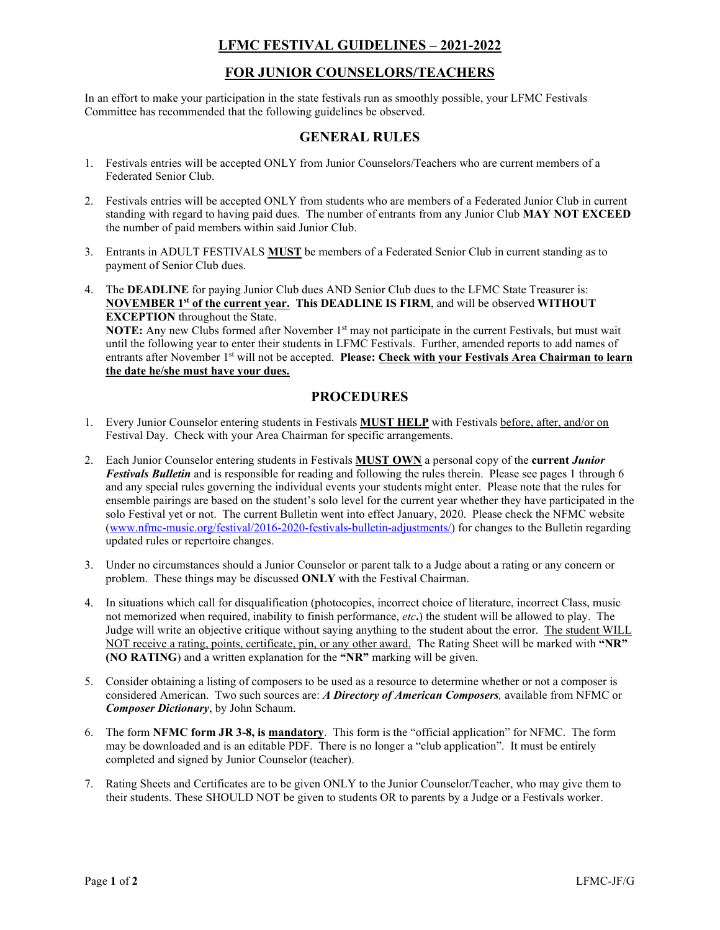# **LFMC FESTIVAL GUIDELINES – 2021-2022**

# **FOR JUNIOR COUNSELORS/TEACHERS**

In an effort to make your participation in the state festivals run as smoothly possible, your LFMC Festivals Committee has recommended that the following guidelines be observed.

## **GENERAL RULES**

- 1. Festivals entries will be accepted ONLY from Junior Counselors/Teachers who are current members of a Federated Senior Club.
- 2. Festivals entries will be accepted ONLY from students who are members of a Federated Junior Club in current standing with regard to having paid dues. The number of entrants from any Junior Club **MAY NOT EXCEED**  the number of paid members within said Junior Club.
- 3. Entrants in ADULT FESTIVALS **MUST** be members of a Federated Senior Club in current standing as to payment of Senior Club dues.
- 4. The **DEADLINE** for paying Junior Club dues AND Senior Club dues to the LFMC State Treasurer is: **NOVEMBER 1st of the current year. This DEADLINE IS FIRM**, and will be observed **WITHOUT EXCEPTION** throughout the State.

**NOTE:** Any new Clubs formed after November 1<sup>st</sup> may not participate in the current Festivals, but must wait until the following year to enter their students in LFMC Festivals. Further, amended reports to add names of entrants after November 1st will not be accepted. **Please: Check with your Festivals Area Chairman to learn the date he/she must have your dues.**

## **PROCEDURES**

- 1. Every Junior Counselor entering students in Festivals **MUST HELP** with Festivals before, after, and/or on Festival Day. Check with your Area Chairman for specific arrangements.
- 2. Each Junior Counselor entering students in Festivals **MUST OWN** a personal copy of the **current** *Junior Festivals Bulletin* and is responsible for reading and following the rules therein. Please see pages 1 through 6 and any special rules governing the individual events your students might enter. Please note that the rules for ensemble pairings are based on the student's solo level for the current year whether they have participated in the solo Festival yet or not. The current Bulletin went into effect January, 2020. Please check the NFMC website [\(www.nfmc-music.org/festival/2016-2020-festivals-bulletin-adjustments/\)](http://www.nfmc-music.org/festival/2016-2020-festivals-bulletin-adjustments/) for changes to the Bulletin regarding updated rules or repertoire changes.
- 3. Under no circumstances should a Junior Counselor or parent talk to a Judge about a rating or any concern or problem. These things may be discussed **ONLY** with the Festival Chairman.
- 4. In situations which call for disqualification (photocopies, incorrect choice of literature, incorrect Class, music not memorized when required, inability to finish performance, *etc***.**) the student will be allowed to play. The Judge will write an objective critique without saying anything to the student about the error. The student WILL NOT receive a rating, points, certificate, pin, or any other award. The Rating Sheet will be marked with **"NR" (NO RATING**) and a written explanation for the **"NR"** marking will be given.
- 5. Consider obtaining a listing of composers to be used as a resource to determine whether or not a composer is considered American. Two such sources are: *A Directory of American Composers,* available from NFMC or *Composer Dictionary*, by John Schaum.
- 6. The form **NFMC form JR 3-8, is mandatory**. This form is the "official application" for NFMC. The form may be downloaded and is an editable PDF. There is no longer a "club application". It must be entirely completed and signed by Junior Counselor (teacher).
- 7. Rating Sheets and Certificates are to be given ONLY to the Junior Counselor/Teacher, who may give them to their students. These SHOULD NOT be given to students OR to parents by a Judge or a Festivals worker.